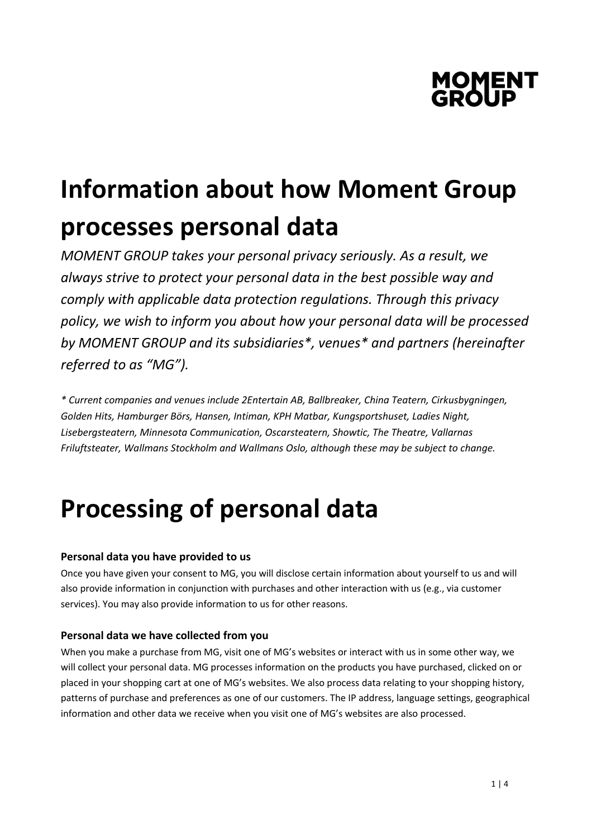

# **Information about how Moment Group processes personal data**

*MOMENT GROUP takes your personal privacy seriously. As a result, we always strive to protect your personal data in the best possible way and comply with applicable data protection regulations. Through this privacy policy, we wish to inform you about how your personal data will be processed by MOMENT GROUP and its subsidiaries\*, venues\* and partners (hereinafter referred to as "MG").*

*\* Current companies and venues include 2Entertain AB, Ballbreaker, China Teatern, Cirkusbygningen, Golden Hits, Hamburger Börs, Hansen, Intiman, KPH Matbar, Kungsportshuset, Ladies Night, Lisebergsteatern, Minnesota Communication, Oscarsteatern, Showtic, The Theatre, Vallarnas Friluftsteater, Wallmans Stockholm and Wallmans Oslo, although these may be subject to change.*

# **Processing of personal data**

# **Personal data you have provided to us**

Once you have given your consent to MG, you will disclose certain information about yourself to us and will also provide information in conjunction with purchases and other interaction with us (e.g., via customer services). You may also provide information to us for other reasons.

# **Personal data we have collected from you**

When you make a purchase from MG, visit one of MG's websites or interact with us in some other way, we will collect your personal data. MG processes information on the products you have purchased, clicked on or placed in your shopping cart at one of MG's websites. We also process data relating to your shopping history, patterns of purchase and preferences as one of our customers. The IP address, language settings, geographical information and other data we receive when you visit one of MG's websites are also processed.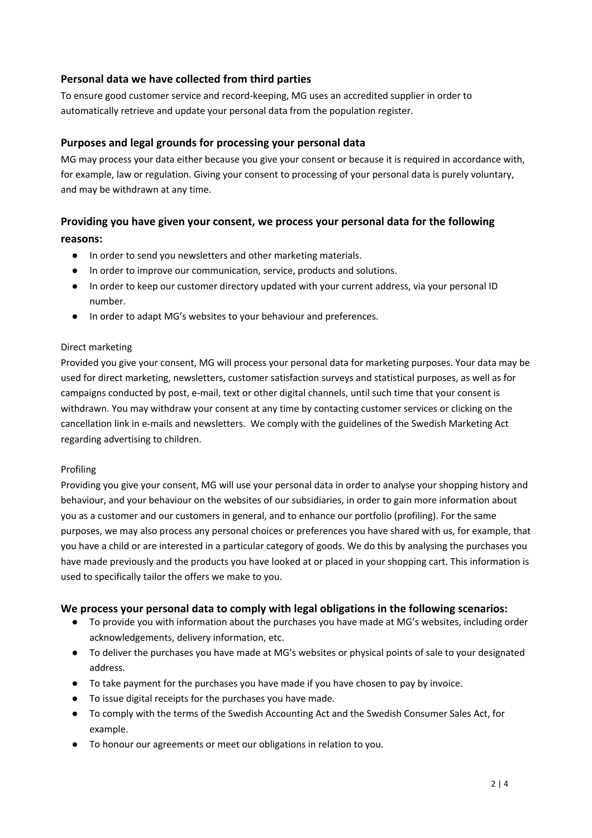# **Personal data we have collected from third parties**

To ensure good customer service and record-keeping, MG uses an accredited supplier in order to automatically retrieve and update your personal data from the population register.

# **Purposes and legal grounds for processing your personal data**

MG may process your data either because you give your consent or because it is required in accordance with, for example, law or regulation. Giving your consent to processing of your personal data is purely voluntary, and may be withdrawn at any time.

# **Providing you have given your consent, we process your personal data for the following reasons:**

- In order to send you newsletters and other marketing materials.
- In order to improve our communication, service, products and solutions.
- In order to keep our customer directory updated with your current address, via your personal ID number.
- In order to adapt MG's websites to your behaviour and preferences.

#### Direct marketing

Provided you give your consent, MG will process your personal data for marketing purposes. Your data may be used for direct marketing, newsletters, customer satisfaction surveys and statistical purposes, as well as for campaigns conducted by post, e-mail, text or other digital channels, until such time that your consent is withdrawn. You may withdraw your consent at any time by contacting customer services or clicking on the cancellation link in e-mails and newsletters. We comply with the guidelines of the Swedish Marketing Act regarding advertising to children.

#### Profiling

Providing you give your consent, MG will use your personal data in order to analyse your shopping history and behaviour, and your behaviour on the websites of our subsidiaries, in order to gain more information about you as a customer and our customers in general, and to enhance our portfolio (profiling). For the same purposes, we may also process any personal choices or preferences you have shared with us, for example, that you have a child or are interested in a particular category of goods. We do this by analysing the purchases you have made previously and the products you have looked at or placed in your shopping cart. This information is used to specifically tailor the offers we make to you.

#### **We process your personal data to comply with legal obligations in the following scenarios:**

- To provide you with information about the purchases you have made at MG's websites, including order acknowledgements, delivery information, etc.
- To deliver the purchases you have made at MG's websites or physical points of sale to your designated address.
- To take payment for the purchases you have made if you have chosen to pay by invoice.
- To issue digital receipts for the purchases you have made.
- To comply with the terms of the Swedish Accounting Act and the Swedish Consumer Sales Act, for example.
- To honour our agreements or meet our obligations in relation to you.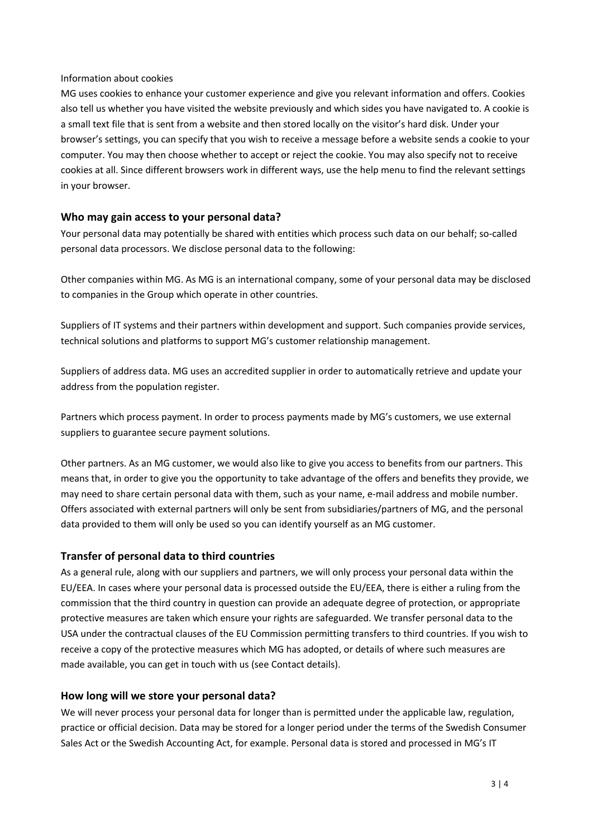#### Information about cookies

MG uses cookies to enhance your customer experience and give you relevant information and offers. Cookies also tell us whether you have visited the website previously and which sides you have navigated to. A cookie is a small text file that is sent from a website and then stored locally on the visitor's hard disk. Under your browser's settings, you can specify that you wish to receive a message before a website sends a cookie to your computer. You may then choose whether to accept or reject the cookie. You may also specify not to receive cookies at all. Since different browsers work in different ways, use the help menu to find the relevant settings in your browser.

#### **Who may gain access to your personal data?**

Your personal data may potentially be shared with entities which process such data on our behalf; so-called personal data processors. We disclose personal data to the following:

Other companies within MG. As MG is an international company, some of your personal data may be disclosed to companies in the Group which operate in other countries.

Suppliers of IT systems and their partners within development and support. Such companies provide services, technical solutions and platforms to support MG's customer relationship management.

Suppliers of address data. MG uses an accredited supplier in order to automatically retrieve and update your address from the population register.

Partners which process payment. In order to process payments made by MG's customers, we use external suppliers to guarantee secure payment solutions.

Other partners. As an MG customer, we would also like to give you access to benefits from our partners. This means that, in order to give you the opportunity to take advantage of the offers and benefits they provide, we may need to share certain personal data with them, such as your name, e-mail address and mobile number. Offers associated with external partners will only be sent from subsidiaries/partners of MG, and the personal data provided to them will only be used so you can identify yourself as an MG customer.

# **Transfer of personal data to third countries**

As a general rule, along with our suppliers and partners, we will only process your personal data within the EU/EEA. In cases where your personal data is processed outside the EU/EEA, there is either a ruling from the commission that the third country in question can provide an adequate degree of protection, or appropriate protective measures are taken which ensure your rights are safeguarded. We transfer personal data to the USA under the contractual clauses of the EU Commission permitting transfers to third countries. If you wish to receive a copy of the protective measures which MG has adopted, or details of where such measures are made available, you can get in touch with us (see Contact details).

#### **How long will we store your personal data?**

We will never process your personal data for longer than is permitted under the applicable law, regulation, practice or official decision. Data may be stored for a longer period under the terms of the Swedish Consumer Sales Act or the Swedish Accounting Act, for example. Personal data is stored and processed in MG's IT